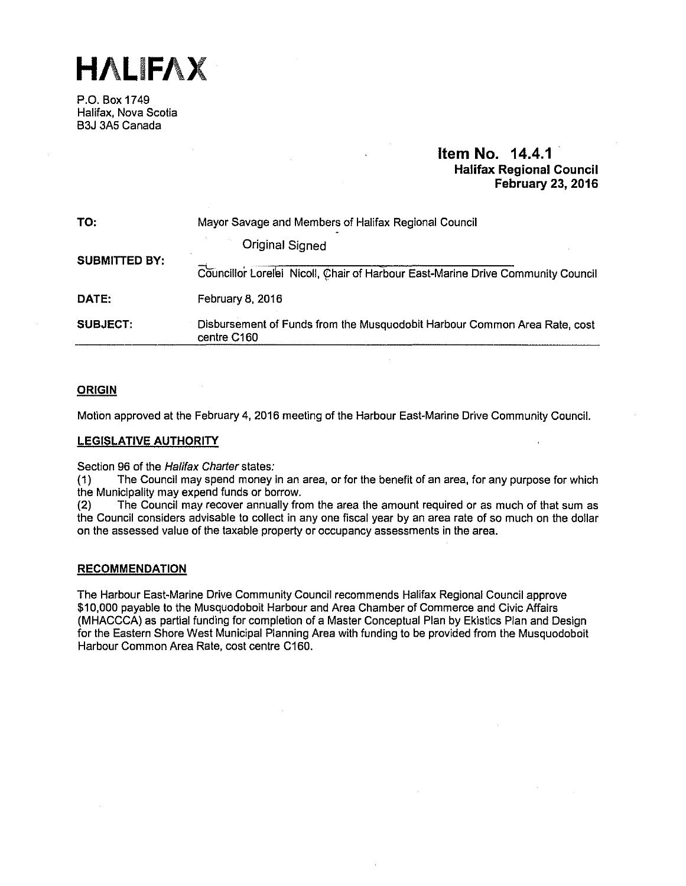**HALIFAX** 

P.O. Box 1749 Halifax, Nova Scotia B3J 3A5 Canada

# **Item No. 14.4.1 Halifax Regional Council February 23, 2016**

| TO:                  | Mayor Savage and Members of Halifax Regional Council                                     |  |  |  |
|----------------------|------------------------------------------------------------------------------------------|--|--|--|
|                      | <b>Original Signed</b>                                                                   |  |  |  |
| <b>SUBMITTED BY:</b> | Councillor Lorelei Nicoll, Chair of Harbour East-Marine Drive Community Council          |  |  |  |
| DATE:                | February 8, 2016                                                                         |  |  |  |
| <b>SUBJECT:</b>      | Disbursement of Funds from the Musquodobit Harbour Common Area Rate, cost<br>centre C160 |  |  |  |

## **ORIGIN**

Motion approved at the February 4, 2016 meeting of the Harbour East-Marine Drive Community Council.

## **LEGISLATIVE AUTHORITY**

Section 96 of the Halifax Charter states:<br>(1) The Council may spend money i

The Council may spend money in an area, or for the benefit of an area, for any purpose for which the Municipality may expend funds or borrow.

(2) The Council may recover annually from the area the amount required or as much of that sum as the Council considers advisable to collect in any one fiscal year by an area rate of so much on the dollar on the assessed value of the taxable property or occupancy assessments in the area.

### **RECOMMENDATION**

The Harbour East-Marine Drive Community Council recommends Halifax Regional Council approve \$10,000 payable to the Musquodoboit Harbour and Area Chamber of Commerce and Civic Affairs (MHACCCA) as partial funding for completion of a Master Conceptual Plan by Ekistics Plan and Design for the Eastern Shore West Municipal Planning Area with funding to be provided from the Musquodoboit Harbour Common Area Rate, cost centre C160.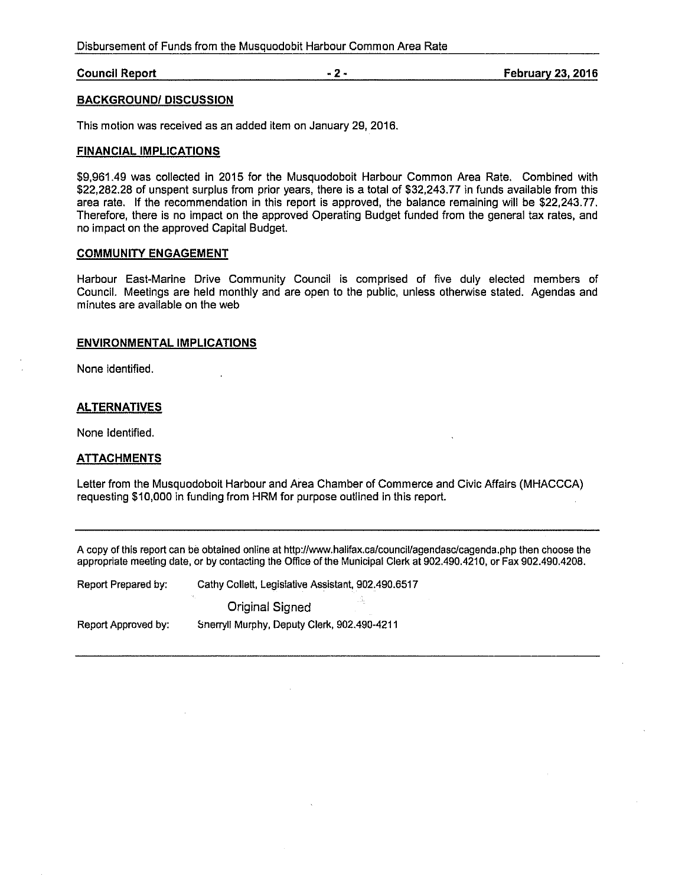Disbursement of Funds from the Musquodobit Harbour Common Area Rate

**Council Report -2- February** 23, **2016** 

## **BACKGROUND/ DISCUSSION**

This motion was received as an added item on January 29, 2016.

### **FINANCIAL IMPLICATIONS**

\$9,961.49 was collected in 2015 for the Musquodoboit Harbour Common Area Rate. Combined with \$22,282.28 of unspent surplus from prior years, there is a total of \$32,243. 77 in funds available from this area rate. If the recommendation in this report is approved, the balance remaining will be \$22,243.77. Therefore, there is no impact on the approved Operating Budget funded from the general tax rates, and no impact on the approved Capital Budget.

# **COMMUNITY ENGAGEMENT**

Harbour East-Marine Drive Community Council is comprised of five duly elected members of Council. Meetings are held monthly and are open to the public, unless otherwise stated. Agendas and minutes are available on the web

### **ENVIRONMENTAL IMPLICATIONS**

None identified.

### **ALTERNATIVES**

None Identified.

#### **ATTACHMENTS**

Letter from the Musquodoboit Harbour and Area Chamber of Commerce and Civic Affairs (MHACCCA) requesting \$10,000 in funding from HRM for purpose outlined in this report.

A copy of this report can be obtained on line at http://www.halifax.ca/council/agendasc/cagenda.php then choose the appropriate meeting date, or by contacting the Office of the Municipal Clerk at 902.490.4210, or Fax 902.490.4208.

| Report Prepared by: |  | Cathy Collett, Legislative Assistant, 902.490.6517 |
|---------------------|--|----------------------------------------------------|
|                     |  |                                                    |
|                     |  |                                                    |

Original Signed

Report Approved by:

Snerryll Murphy, Deputy Clerk, 902.490-4211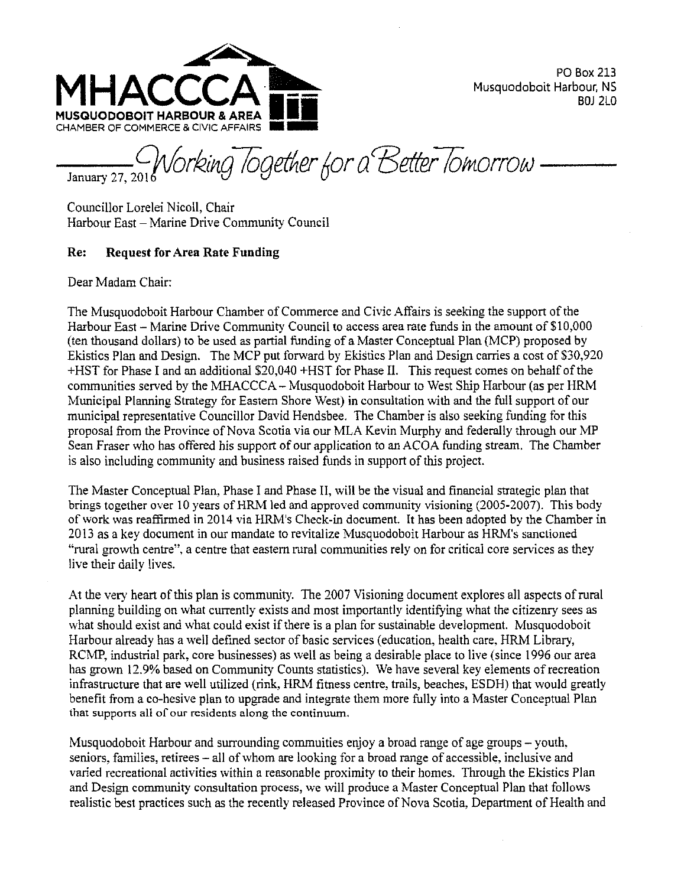

PO Box 213 Musquodoboit Harbour, NS BOJ 2LO

January 27, *<sup>2</sup>* CHAMBER OF COMMERCE & CIVIC AFFAIRS<br>Tanuary 27, 2011 Norking Together for a Better Tomorrow -

Councillor Lorelei Nicoll, Chair Harbour East - Marine Drive Community Council

# Re: Request for Area Rate Funding

Dear Madam Chair:

The Musquodoboit Harbour Chamber of Commerce and Civic Affairs is seeking the support of the Harbour East - Marine Drive Community Council to access area rate funds in the amount of \$10,000 (ten thousand dollars) to be used as partial funding of a Master Conceptual Plan (MCP) proposed by Ekistics Plan and Design. The MCP put forward by Ekistics Plan and Design carries a cost of \$30,920 +HST for Phase I and an additional \$20,040 +HST for Phase II. This request comes on behalf of the communities served by the MHACCCA- Musquodoboit Harbour to West Ship Harbour (as per HRM Municipal Planning Strategy for Eastern Shore West) in consultation with and the full support of our municipal representative Councillor David Hendsbee. The Chamber is also seeking funding for this proposal from the Province of Nova Scotia via our MLA Kevin Murphy and federally through our MP Sean Fraser who has offered his support of our application to an ACOA funding stream. The Chamber is also including community and business raised funds in support of this project.

The Master Conceptual Plan, Phase I and Phase II, will be the visual and financial strategic plan that brings together over 10 years of HRM led and approved community visioning (2005-2007). This body of work was reaffirmed in 2014 via HRM's Check-in document It has been adopted by the Chamber in 2013 as a key document in our mandate to revitalize Musquodoboit Harbour as HRM's sanctioned "rural growth centre", a centre that eastern rural communities rely on for critical core services as they live their daily lives.

At the very heart of this plan is community. The 2007 Visioning document explores all aspects of rural planning building on what currently exists and most importantly identifying what the citizenry sees as what should exist and what could exist if there is a plan for sustainable development. Musquodoboit Harbour already has a well defined sector of basic services (education, health care, HRM Library, RCMP, industrial park, core businesses) as well as being a desirable place to live (since 1996 our area has grown 12.9% based on Community Counts statistics). We have several key elements of recreation infrastructure that are well utilized (rink, HRM fitness centre, trails, beaches, ESDH) that would greatly benefit from a co-hesive plan to upgrade and integrate them more fully into a Master Conceptual Plan that supports all of our residents along the continuwn.

Musquodoboit Harbour and surrounding commuities enjoy a broad range of age groups – youth, seniors, families, retirees – all of whom are looking for a broad range of accessible, inclusive and varied recreational activities within a reasonable proximity to their homes. Through the Ekistics Plan and Design community consultation process, we will produce a Master Conceptual Plan that follows realistic best practices such as the recently released Province of Nova Scotia, Department of Health and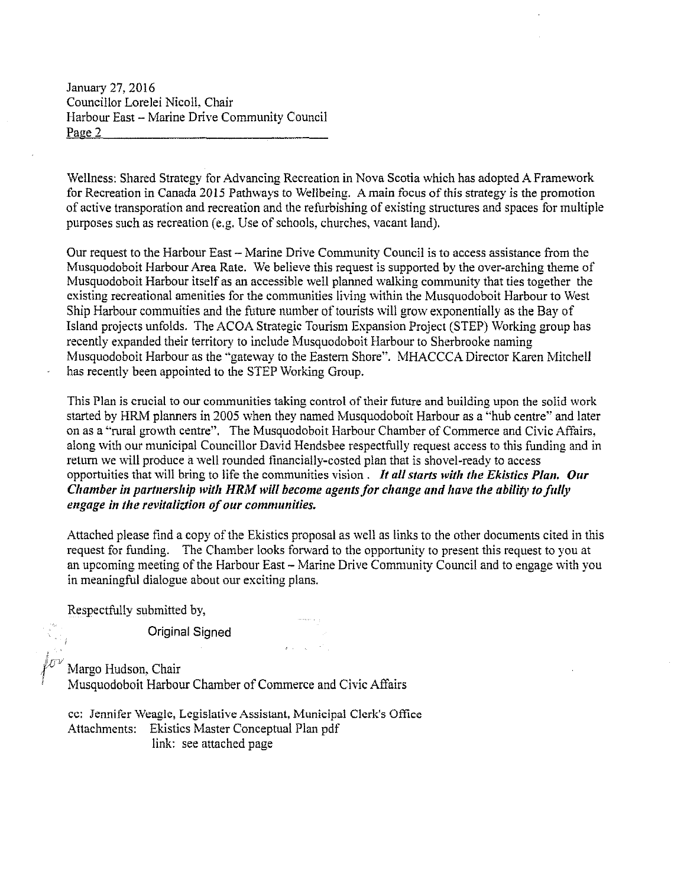January 27, 2016 Councillor Lorelei Nicoll, Chair Harbour East - Marine Drive Community Council Page 2

Wellness: Shared Strategy for Advancing Recreation in Nova Scotia which has adopted A Framework for Recreation in Canada 2015 Pathways to Wellbeing. A main focus of this strategy is the promotion of active transporation and recreation and the refurbishing of existing structures and spaces for multiple purposes such as recreation (e.g. Use of schools, churches, vacant land).

Our request to the Harbour East - Marine Drive Community Council is to access assistance from the Musquodoboit Harbour Area Rate. We believe this request is supported by the over-arching theme of Musquodoboit Harbour itself as an accessible well planned walking community that ties together the existing recreational amenities for the communities living within the Musquodoboit Harbour to West Ship Harbour commuities and the future number of tourists will grow exponentially as the Bay of Island projects unfolds. The ACOA Strategic Tourism Expansion Project (STEP) Working group has recently expanded their territory to include Musquodoboit Harbour to Sherbrooke naming Musquodoboit Harbour as the "gateway to the Eastern Shore". MHACCCA Director Karen Mitchell has recently been appointed to the STEP Working Group.

This Plan is crucial to our communities taking control of their future and building upon the solid work started by HRM planners in 2005 when they named Musquodoboit Harbour as a "hub centre" and later on as a "rural growth centre". The Musquodoboit Harbour Chamber of Commerce and Civic Affairs, along with our municipal Councillor David Hendsbee respectfully request access to this funding and in return we will produce a well rounded financially-costed plan that is shovel-ready to access opportuities that will bring to life the communities vision . *It all starts with the Ekistics Plan. Our Chamber in partnership with HRM will become agents for change and have the ability to fully* engage in the revitaliztion of our communities.

Attached please find a copy of the Ekistics proposal as well as links to the other documents cited in this request for funding. The Chamber looks forward to the opportunity to present this request to you at an upcoming meeting of the Harbour East – Marine Drive Community Council and to engage with you in meaningful dialogue about our exciting plans.

 $\mathbf{z}$  , and  $\mathbf{z}$  and  $\mathbf{z}$ 

Respectfully submitted by,

Original Signed

Margo Hudson, Chair Musquodoboit Harbour Chamber of Commerce and Civic Affairs

cc: Jennifer Weagle, Legislative Assistant, Municipal Clerk's Office Attachments: Ekistics Master Conceptual Plan pdf link: see attached page